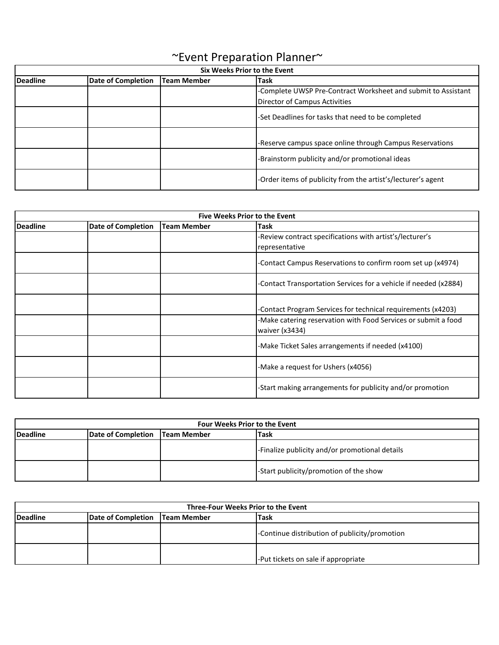| <b>Six Weeks Prior to the Event</b> |                           |                    |                                                                                                |
|-------------------------------------|---------------------------|--------------------|------------------------------------------------------------------------------------------------|
| <b>Deadline</b>                     | <b>Date of Completion</b> | <b>Team Member</b> | <b>Task</b>                                                                                    |
|                                     |                           |                    | -Complete UWSP Pre-Contract Worksheet and submit to Assistant<br>Director of Campus Activities |
|                                     |                           |                    | -Set Deadlines for tasks that need to be completed                                             |
|                                     |                           |                    | -Reserve campus space online through Campus Reservations                                       |
|                                     |                           |                    | -Brainstorm publicity and/or promotional ideas                                                 |
|                                     |                           |                    | -Order items of publicity from the artist's/lecturer's agent                                   |

## ~Event Preparation Planner~

| <b>Five Weeks Prior to the Event</b> |                           |                    |                                                                  |
|--------------------------------------|---------------------------|--------------------|------------------------------------------------------------------|
| <b>Deadline</b>                      | <b>Date of Completion</b> | <b>Team Member</b> | <b>Task</b>                                                      |
|                                      |                           |                    | -Review contract specifications with artist's/lecturer's         |
|                                      |                           |                    | representative                                                   |
|                                      |                           |                    | -Contact Campus Reservations to confirm room set up (x4974)      |
|                                      |                           |                    | -Contact Transportation Services for a vehicle if needed (x2884) |
|                                      |                           |                    |                                                                  |
|                                      |                           |                    | -Contact Program Services for technical requirements (x4203)     |
|                                      |                           |                    | -Make catering reservation with Food Services or submit a food   |
|                                      |                           |                    | waiver (x3434)                                                   |
|                                      |                           |                    | -Make Ticket Sales arrangements if needed (x4100)                |
|                                      |                           |                    | -Make a request for Ushers (x4056)                               |
|                                      |                           |                    | -Start making arrangements for publicity and/or promotion        |

| <b>Four Weeks Prior to the Event</b> |                                  |  |                                                |
|--------------------------------------|----------------------------------|--|------------------------------------------------|
| <b>Deadline</b>                      | Date of Completion   Team Member |  | <b>Task</b>                                    |
|                                      |                                  |  | -Finalize publicity and/or promotional details |
|                                      |                                  |  | -Start publicity/promotion of the show         |

| Three-Four Weeks Prior to the Event |                                  |  |                                               |
|-------------------------------------|----------------------------------|--|-----------------------------------------------|
| <b>Deadline</b>                     | Date of Completion   Team Member |  | <b>Task</b>                                   |
|                                     |                                  |  | -Continue distribution of publicity/promotion |
|                                     |                                  |  | -Put tickets on sale if appropriate           |